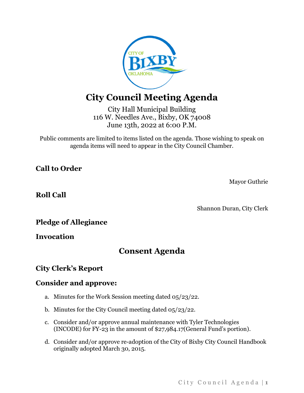

# **City Council Meeting Agenda**

City Hall Municipal Building 116 W. Needles Ave., Bixby, OK 74008 June 13th, 2022 at 6:00 P.M.

Public comments are limited to items listed on the agenda. Those wishing to speak on agenda items will need to appear in the City Council Chamber.

**Call to Order**

Mayor Guthrie

**Roll Call**

Shannon Duran, City Clerk

**Pledge of Allegiance**

**Invocation**

## **Consent Agenda**

## **City Clerk's Report**

### **Consider and approve:**

- a. Minutes for the Work Session meeting dated 05/23/22.
- b. Minutes for the City Council meeting dated 05/23/22.
- c. Consider and/or approve annual maintenance with Tyler Technologies (INCODE) for FY-23 in the amount of \$27,984.17(General Fund's portion).
- d. Consider and/or approve re-adoption of the City of Bixby City Council Handbook originally adopted March 30, 2015.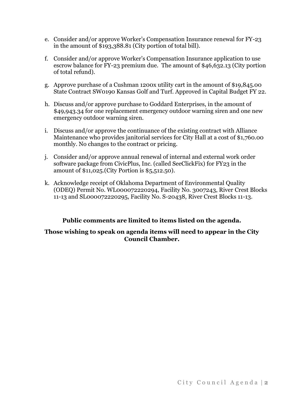- e. Consider and/or approve Worker's Compensation Insurance renewal for FY-23 in the amount of \$193,388.81 (City portion of total bill).
- f. Consider and/or approve Worker's Compensation Insurance application to use escrow balance for FY-23 premium due. The amount of \$46,632.13 (City portion of total refund).
- g. Approve purchase of a Cushman 1200x utility cart in the amount of \$19,845.00 State Contract SW0190 Kansas Golf and Turf. Approved in Capital Budget FY 22.
- h. Discuss and/or approve purchase to Goddard Enterprises, in the amount of \$49,943.34 for one replacement emergency outdoor warning siren and one new emergency outdoor warning siren.
- i. Discuss and/or approve the continuance of the existing contract with Alliance Maintenance who provides janitorial services for City Hall at a cost of \$1,760.00 monthly. No changes to the contract or pricing.
- j. Consider and/or approve annual renewal of internal and external work order software package from CivicPlus, Inc. (called SeeClickFix) for FY23 in the amount of \$11,025.(City Portion is \$5,512.50).
- k. Acknowledge receipt of Oklahoma Department of Environmental Quality (ODEQ) Permit No. WL000072220294, Facility No. 3007243, River Crest Blocks 11-13 and SL000072220295, Facility No. S-20438, River Crest Blocks 11-13.

#### **Public comments are limited to items listed on the agenda.**

#### **Those wishing to speak on agenda items will need to appear in the City Council Chamber.**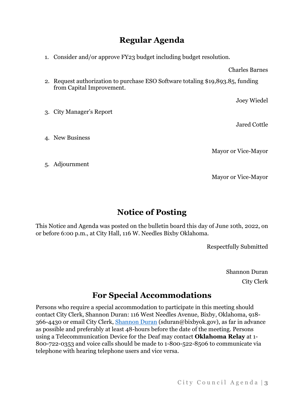## **Regular Agenda**

1. Consider and/or approve FY23 budget including budget resolution.

Charles Barnes

2. Request authorization to purchase ESO Software totaling \$19,893.85, funding from Capital Improvement.

Joey Wiedel

Jared Cottle

- 3. City Manager's Report
- 4. New Business

Mayor or Vice-Mayor

Mayor or Vice-Mayor

5. Adjournment

## **Notice of Posting**

This Notice and Agenda was posted on the bulletin board this day of June 10th, 2022, on or before 6:00 p.m., at City Hall, 116 W. Needles Bixby Oklahoma.

Respectfully Submitted

Shannon Duran City Clerk

## **For Special Accommodations**

Persons who require a special accommodation to participate in this meeting should contact City Clerk, Shannon Duran: 116 West Needles Avenue, Bixby, Oklahoma, 918- 366-4430 or email City Clerk, [Shannon Duran](mailto:sduran@bixbyok.gov) (sduran@bixbyok.gov), as far in advance as possible and preferably at least 48-hours before the date of the meeting. Persons using a Telecommunication Device for the Deaf may contact **Oklahoma Relay** at 1- 800-722-0353 and voice calls should be made to 1-800-522-8506 to communicate via telephone with hearing telephone users and vice versa.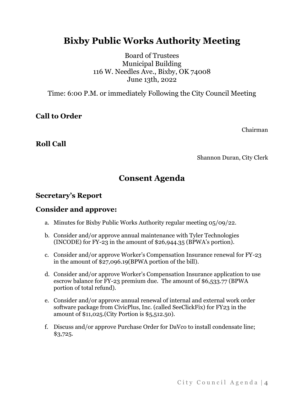# **Bixby Public Works Authority Meeting**

Board of Trustees Municipal Building 116 W. Needles Ave., Bixby, OK 74008 June 13th, 2022

Time: 6:00 P.M. or immediately Following the City Council Meeting

### **Call to Order**

Chairman

### **Roll Call**

Shannon Duran, City Clerk

## **Consent Agenda**

### **Secretary's Report**

#### **Consider and approve:**

- a. Minutes for Bixby Public Works Authority regular meeting 05/09/22.
- b. Consider and/or approve annual maintenance with Tyler Technologies (INCODE) for FY-23 in the amount of \$26,944.35 (BPWA's portion).
- c. Consider and/or approve Worker's Compensation Insurance renewal for FY-23 in the amount of \$27,096.19(BPWA portion of the bill).
- d. Consider and/or approve Worker's Compensation Insurance application to use escrow balance for FY-23 premium due. The amount of \$6,533.77 (BPWA portion of total refund).
- e. Consider and/or approve annual renewal of internal and external work order software package from CivicPlus, Inc. (called SeeClickFix) for FY23 in the amount of \$11,025.(City Portion is \$5,512.50).
- f. Discuss and/or approve Purchase Order for DaVco to install condensate line; \$3,725.